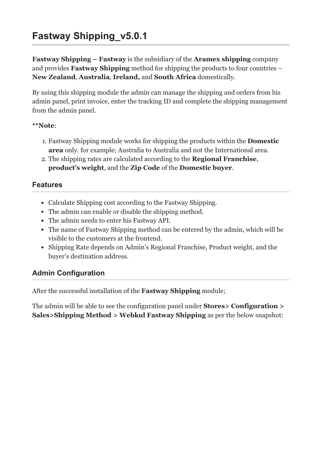# **Fastway Shipping\_v5.0.1**

**Fastway Shipping – Fastway** is the subsidiary of the **Aramex shipping** company and provides **Fastway Shipping** method for shipping the products to four countries – **New Zealand**, **Australia**, **Ireland,** and **South Africa** domestically.

By using this shipping module the admin can manage the shipping and orders from his admin panel, print invoice, enter the tracking ID and complete the shipping management from the admin panel.

#### **\*\*Note**:

- 1. Fastway Shipping module works for shipping the products within the **Domestic area** only. for example; Australia to Australia and not the International area.
- 2. The shipping rates are calculated according to the **Regional Franchise**, **product's weight**, and the **Zip Code** of the **Domestic buyer**.

### **Features**

- Calculate Shipping cost according to the Fastway Shipping.
- The admin can enable or disable the shipping method.
- The admin needs to enter his Fastway API.
- The name of Fastway Shipping method can be entered by the admin, which will be visible to the customers at the frontend.
- Shipping Rate depends on Admin's Regional Franchise, Product weight, and the buyer's destination address.

## **Admin Configuration**

After the successful installation of the **Fastway Shipping** module;

The admin will be able to see the configuration panel under **Stores> Configuration > Sales>Shipping Method > Webkul Fastway Shipping** as per the below snapshot: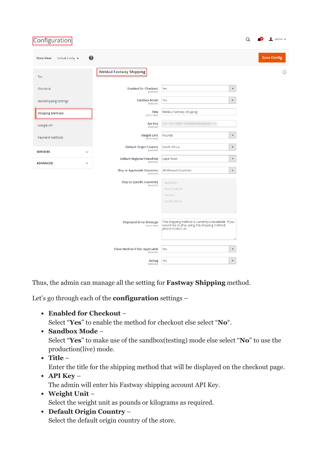| Configuration                               |                                                  |                                                                                                                               |                        |  | admin -            |
|---------------------------------------------|--------------------------------------------------|-------------------------------------------------------------------------------------------------------------------------------|------------------------|--|--------------------|
| 0<br>Default Config ▼<br><b>Store View:</b> |                                                  |                                                                                                                               |                        |  | <b>Save Config</b> |
| Tax                                         | <b>Webkul Fastway Shipping</b>                   |                                                                                                                               |                        |  | ⊙                  |
| Checkout                                    | <b>Enabled for Checkout</b><br>[website]         | Yes                                                                                                                           | $\blacktriangledown$   |  |                    |
| <b>Multishipping Settings</b>               | <b>Sandbox Mode</b><br>[website]                 | Yes                                                                                                                           | $\overline{\mathbf v}$ |  |                    |
| <b>Shipping Methods</b>                     | <b>Title</b><br>[store view]                     | Webkul Fastway Shipping                                                                                                       |                        |  |                    |
| Google API                                  | Api Key<br>[website]                             |                                                                                                                               |                        |  |                    |
| Payment Methods                             | <b>Weight Unit</b><br>[store view]               | Pounds                                                                                                                        | $\overline{\mathbf v}$ |  |                    |
| <b>SERVICES</b><br>$\checkmark$             | <b>Default Origin Country</b><br>[website]       | South Africa                                                                                                                  | $\blacktriangledown$   |  |                    |
| <b>ADVANCED</b><br>$\checkmark$             | <b>Default Regional Franchise</b><br>[website]   | Cape Town                                                                                                                     | $\blacktriangledown$   |  |                    |
|                                             | <b>Ship to Applicable Countries</b><br>[website] | All Allowed Countries                                                                                                         | $\overline{\mathbf v}$ |  |                    |
|                                             | <b>Ship to Specific Countries</b><br>[website]   | Australia<br>New Zealand<br>Ireland<br>South Africa                                                                           |                        |  |                    |
|                                             |                                                  |                                                                                                                               |                        |  |                    |
|                                             | <b>Displayed Error Message</b><br>[store view]   | This shipping method is currently unavailable. If you<br>would like to ship using this shipping method,<br>please contact us. |                        |  |                    |
|                                             | Show Method if Not Applicable<br>[website]       | Yes                                                                                                                           | $\blacktriangledown$   |  |                    |
|                                             | <b>Debug</b><br>[website]                        | Yes                                                                                                                           | $\blacktriangledown$   |  |                    |

Thus, the admin can manage all the setting for **Fastway Shipping** method.

Let's go through each of the **configuration** settings –

**Enabled for Checkout** –

Select "**Yes**" to enable the method for checkout else select "**No**".

**Sandbox Mode** –

Select "**Yes**" to make use of the sandbox(testing) mode else select "**No**" to use the production(live) mode.

- **Title** –
- Enter the title for the shipping method that will be displayed on the checkout page. **API Key** –

The admin will enter his Fastway shipping account API Key.

- **Weight Unit** Select the weight unit as pounds or kilograms as required.
- **Default Origin Country** Select the default origin country of the store.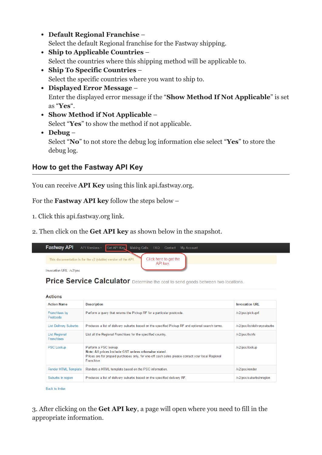- **Default Regional Franchise** Select the default Regional franchise for the Fastway shipping.
- **Ship to Applicable Countries** Select the countries where this shipping method will be applicable to.
- **Ship To Specific Countries** Select the specific countries where you want to ship to.
- **Displayed Error Message** Enter the displayed error message if the "**Show Method If Not Applicable**" is set as "**Yes**".
- **Show Method if Not Applicable** Select "**Yes**" to show the method if not applicable.
- **Debug** Select "**No**" to not store the debug log information else select "**Yes**" to store the debug log.

# **How to get the Fastway API Key**

You can receive **API Key** using this link [api.fastway.org.](http://api.fastway.org/v2/docs/detail?ControllerName=psc&api_key=)

For the **Fastway API key** follow the steps below –

- 1. Click this [api.fastway.org](http://api.fastway.org/v2/docs/detail?ControllerName=psc&api_key=) link.
- 2. Then click on the **Get API key** as shown below in the snapshot.

| <b>Fastway API</b>      |                                                               | API Versions - Get API Key Making Calls FAQ Contact My Account |  |
|-------------------------|---------------------------------------------------------------|----------------------------------------------------------------|--|
|                         | This documentation is for the v2 (stable) version of the API. | Click here to get the<br>API key.                              |  |
| Invocation URL: /v2/psc |                                                               |                                                                |  |

Price Service Calculator Determine the cost to send goods between two locations.

| <b>Actions</b>                            |                                                                                                                                                                                                        |                             |
|-------------------------------------------|--------------------------------------------------------------------------------------------------------------------------------------------------------------------------------------------------------|-----------------------------|
| <b>Action Name</b>                        | <b>Description</b>                                                                                                                                                                                     | <b>Invocation URL</b>       |
| Franchises by<br>Postcode                 | Perform a query that returns the Pickup RF for a particular postcode.                                                                                                                                  | /v2/psc/pickuprf            |
| <b>List Delivery Suburbs</b>              | Produces a list of delivery suburbs based on the specified Pickup RF and optional search terms.                                                                                                        | /v2/psc/listdeliverysuburbs |
| <b>List Regional</b><br><b>Franchises</b> | List all the Regional Franchises for the specified country.                                                                                                                                            | /v2/psc/listrfs             |
| <b>PSC Lookup</b>                         | Perform a PSC lookup.<br>Note: All prices include GST unless otherwise stated.<br>Prices are for prepaid purchases only, for one-off cash sales please contact your local Regional<br><b>Franchise</b> | /v2/psc/lookup              |
| <b>Render HTML Template</b>               | Renders a HTML template based on the PSC information.                                                                                                                                                  | /v2/psc/render              |
| Suburbs in region                         | Produces a list of delivery suburbs based on the specified delivery RF.                                                                                                                                | /v2/psc/suburbsinregion     |
|                                           |                                                                                                                                                                                                        |                             |

**Back to Index** 

3. After clicking on the **Get API key**, a page will open where you need to fill in the appropriate information.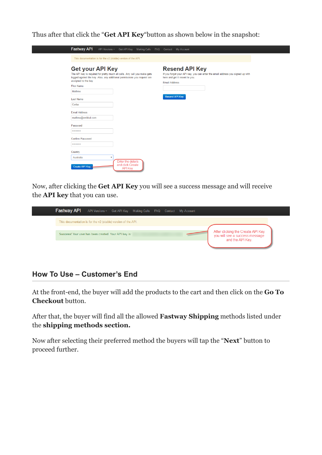Thus after that click the "**Get API Key**"button as shown below in the snapshot:

| This documentation is for the v2 (stable) version of the API.                                                                                                                                                                                                        |                                                                                                                                                                                            |
|----------------------------------------------------------------------------------------------------------------------------------------------------------------------------------------------------------------------------------------------------------------------|--------------------------------------------------------------------------------------------------------------------------------------------------------------------------------------------|
| <b>Get your API Key</b><br>The API key is required for pretty much all calls. Any call you make gets<br>logged against the key. Also, any additional permissions you request are<br>assigned to the key.<br><b>First Name</b><br>Mathew<br><b>Last Name</b><br>Corba | <b>Resend API Key</b><br>If you forgot your API key, you can enter the email address you signed up with<br>here and get it resent to you.<br><b>Email Address</b><br><b>Resend API Key</b> |
| <b>Email Address</b><br>mathew@webkul.com<br>Password<br>                                                                                                                                                                                                            |                                                                                                                                                                                            |
| <b>Confirm Password</b><br>                                                                                                                                                                                                                                          |                                                                                                                                                                                            |
| Country<br>Australia<br>v<br>Enter the details<br>and click Create<br><b>Create API Key</b>                                                                                                                                                                          |                                                                                                                                                                                            |

Now, after clicking the **Get API Key** you will see a success message and will receive the **API key** that you can use.



### **How To Use – Customer's End**

At the front-end, the buyer will add the products to the cart and then click on the **Go To Checkout** button.

After that, the buyer will find all the allowed **Fastway Shipping** methods listed under the **shipping methods section.**

Now after selecting their preferred method the buyers will tap the "**Next**" button to proceed further.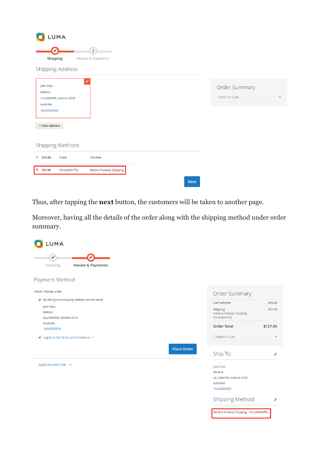| LUMA                                           |                                     |             |                                 |              |
|------------------------------------------------|-------------------------------------|-------------|---------------------------------|--------------|
| ✓<br><b>Shipping</b>                           | $\overline{2}$<br>Review & Payments |             |                                 |              |
| <b>Shipping Address</b>                        |                                     |             |                                 |              |
| John Doe<br>Webkul<br>ULLSWATER, Victoria 3318 |                                     |             | Order Summary<br>1 Item in Cart | $\checkmark$ |
| Australia<br>14242800000<br>+ New Address      |                                     |             |                                 |              |
| <b>Shipping Methods</b>                        |                                     |             |                                 |              |
| $\circ$ \$10.00<br>Fixed                       | <b>Flat Rate</b>                    |             |                                 |              |
| $@$ \$37.00<br>Parcel(WHITE)                   | Webkul Fastway Shipping             |             |                                 |              |
|                                                |                                     | <b>Next</b> |                                 |              |

Thus, after tapping the **next** button, the customers will be taken to another page.

Moreover, having all the details of the order along with the shipping method under order summary.

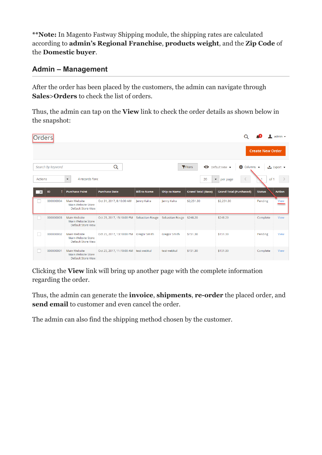**\*\*Note:** In Magento Fastway Shipping module, the shipping rates are calculated according to **admin's Regional Franchise**, **products weight**, and the **Zip Code** of the **Domestic buyer**.

### **Admin – Management**

After the order has been placed by the customers, the admin can navigate through **Sales**>**Orders** to check the list of orders.

Thus, the admin can tap on the **View** link to check the order details as shown below in the snapshot:

| <b>Orders</b>            |                   |                                                                 |                                           |                     |                          |                           |                                               |                         | admin $\star$     |
|--------------------------|-------------------|-----------------------------------------------------------------|-------------------------------------------|---------------------|--------------------------|---------------------------|-----------------------------------------------|-------------------------|-------------------|
|                          |                   |                                                                 |                                           |                     |                          |                           |                                               | <b>Create New Order</b> |                   |
|                          | Search by keyword |                                                                 | Q                                         |                     |                          | Fiters<br>$\bullet$       | Default View ▼<br>$\bullet$ Columns $\bullet$ |                         | <b>≛</b> Export ▼ |
| <b>Actions</b>           |                   | 4 records fonc<br>$\blacktriangledown$                          |                                           |                     |                          | 20                        | per page<br>$\prec$<br>$\blacktriangledown$   | of 1                    |                   |
| $\overline{\phantom{a}}$ | ID                | <b>Purchase Point</b>                                           | <b>Purchase Date</b>                      | <b>Bill-to Name</b> | <b>Ship-to Name</b>      | <b>Grand Total (Base)</b> | <b>Grand Total (Purchased)</b>                | <b>Status</b>           | <b>Action</b>     |
|                          | 000000004         | Main Website<br>Main Website Store<br>Default Store View        | Oct 31, 2017, 8:10:00 AM                  | Jenny Kalra         | Jenny Kalra              | \$2,251.30                | \$2,251.30                                    | Pending                 | View              |
|                          | 000000003         | Main Website<br>Main Website Store<br><b>Default Store View</b> | Oct 25, 2017, 15:10:00 PM Sebastian Rouge |                     | Sebastian Rouge \$248.20 |                           | \$248.20                                      | Complete                | View              |
| H.                       | 000000002         | Main Website<br>Main Website Store<br>Default Store View        | Oct 25, 2017, 13:10:00 PM                 | <b>Gregor Smith</b> | <b>Gregor Smith</b>      | \$151.30                  | \$151.30                                      | Pending                 | View              |
|                          | 000000001         | Main Website<br>Main Website Store<br>Default Store View        | Oct 25, 2017, 11:10:00 AM test webkul     |                     | test webkul              | \$151.30                  | \$151.30                                      | Complete                | View              |

Clicking the **View** link will bring up another page with the complete information regarding the order.

Thus, the admin can generate the **invoice**, **shipments**, **re-order** the placed order, and **send email** to customer and even cancel the order.

The admin can also find the shipping method chosen by the customer.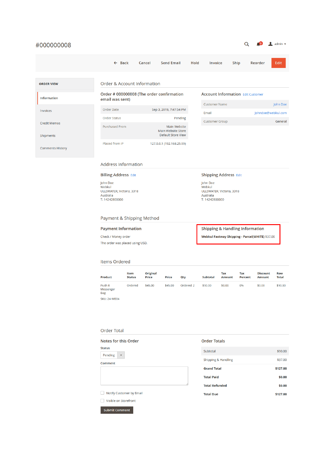| #000000008              |                                                                                |                                                                 |                                                                                |                                          | admin $\star$      |
|-------------------------|--------------------------------------------------------------------------------|-----------------------------------------------------------------|--------------------------------------------------------------------------------|------------------------------------------|--------------------|
|                         | $\leftarrow$ Back                                                              | <b>Send Email</b><br>Cancel                                     | Invoice<br>Hold                                                                | Reorder<br><b>Ship</b>                   | Edit               |
| <b>ORDER VIEW</b>       | <b>Order &amp; Account Information</b>                                         |                                                                 |                                                                                |                                          |                    |
| Information             | email was sent)                                                                | Order # 000000008 (The order confirmation                       |                                                                                | <b>Account Information Edit Customer</b> |                    |
|                         |                                                                                |                                                                 | <b>Customer Name</b>                                                           |                                          | John Doe           |
| Invoices                | <b>Order Date</b>                                                              | Sep 3, 2019, 7:47:54 PM                                         | Email                                                                          |                                          | Johndoe@webkul.com |
| <b>Credit Memos</b>     | <b>Order Status</b>                                                            | Pending                                                         | <b>Customer Group</b>                                                          |                                          | General            |
| Shipments               | <b>Purchased From</b>                                                          | Main Website<br>Main Website Store<br><b>Default Store View</b> |                                                                                |                                          |                    |
| <b>Comments History</b> | Placed from IP                                                                 | 127.0.0.1 (192.168.25.99)                                       |                                                                                |                                          |                    |
|                         | Address Information                                                            |                                                                 |                                                                                |                                          |                    |
|                         | <b>Billing Address Edit</b>                                                    |                                                                 | <b>Shipping Address Edit</b>                                                   |                                          |                    |
|                         | John Doe<br>Webkul<br>ULLSWATER, Victoria, 3318<br>Australia<br>T: 14242800000 |                                                                 | John Doe<br>Webkul<br>ULLSWATER, Victoria, 3318<br>Australia<br>T: 14242800000 |                                          |                    |

#### Payment & Shipping Method

**Payment Information** Check / Money order The order was placed using USD. **Shipping & Handling Information** 

Webkul Fastway Shipping - Parcel(WHITE) \$37.00

#### Items Ordered

| Product                            | Item<br><b>Status</b> | <b>Original</b><br>Price | Price   | Qty       | Subtotal | Tax<br><b>Amount</b> | Tax<br>Percent | <b>Discount</b><br><b>Amount</b> | <b>Row</b><br><b>Total</b> |
|------------------------------------|-----------------------|--------------------------|---------|-----------|----------|----------------------|----------------|----------------------------------|----------------------------|
| Push It<br>Messenger<br><b>Bag</b> | Ordered               | \$45.00                  | \$45.00 | Ordered 2 | \$90.00  | \$0.00               | 0%             | \$0.00                           | \$90.00                    |

**SKU: 24-WB04** 

#### **Order Total**

Submit Comment

| <b>Notes for this Order</b> |  |  |  |  |  |  |
|-----------------------------|--|--|--|--|--|--|
| <b>Status</b>               |  |  |  |  |  |  |
| Pending                     |  |  |  |  |  |  |
| Comment                     |  |  |  |  |  |  |
|                             |  |  |  |  |  |  |
|                             |  |  |  |  |  |  |
| Notify Customer by Email    |  |  |  |  |  |  |
| Visible on Storefront       |  |  |  |  |  |  |

| <b>Order Totals</b>   |          |
|-----------------------|----------|
| Subtotal              | \$90.00  |
| Shipping & Handling   | \$37.00  |
| <b>Grand Total</b>    | \$127.00 |
| <b>Total Paid</b>     | \$0.00   |
| <b>Total Refunded</b> | \$0.00   |
| <b>Total Due</b>      | \$127.00 |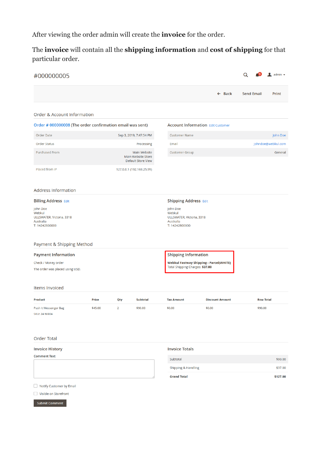After viewing the order admin will create the **invoice** for the order.

The **invoice** will contain all the **shipping information** and **cost of shipping** for that particular order.

| #000000005                                                                     |         |                |                                                          |                                                                                |                        | Q                 |                  | 1<br>admin $\star$ |
|--------------------------------------------------------------------------------|---------|----------------|----------------------------------------------------------|--------------------------------------------------------------------------------|------------------------|-------------------|------------------|--------------------|
|                                                                                |         |                |                                                          |                                                                                | $\leftarrow$ Back      | <b>Send Email</b> |                  | Print              |
| <b>Order &amp; Account Information</b>                                         |         |                |                                                          |                                                                                |                        |                   |                  |                    |
| Order # 000000008 (The order confirmation email was sent)                      |         |                |                                                          | <b>Account Information Edit Customer</b>                                       |                        |                   |                  |                    |
| <b>Order Date</b>                                                              |         |                | Sep 3, 2019, 7:47:54 PM                                  | <b>Customer Name</b>                                                           |                        |                   |                  | John Doe           |
| <b>Order Status</b>                                                            |         |                | Processing                                               | Email                                                                          |                        |                   |                  | Johndoe@webkul.com |
| <b>Purchased From</b>                                                          |         |                | Main Website<br>Main Website Store<br>Default Store View | <b>Customer Group</b>                                                          |                        |                   |                  | General            |
| Placed from IP                                                                 |         |                | 127.0.0.1 (192.168.25.99)                                |                                                                                |                        |                   |                  |                    |
| <b>Address Information</b>                                                     |         |                |                                                          |                                                                                |                        |                   |                  |                    |
| <b>Billing Address Edit</b>                                                    |         |                |                                                          | <b>Shipping Address Edit</b>                                                   |                        |                   |                  |                    |
| John Doe<br>Webkul<br>ULLSWATER, Victoria, 3318<br>Australia<br>T: 14242800000 |         |                |                                                          | John Doe<br>Webkul<br>ULLSWATER, Victoria, 3318<br>Australia<br>T: 14242800000 |                        |                   |                  |                    |
| Payment & Shipping Method                                                      |         |                |                                                          |                                                                                |                        |                   |                  |                    |
| <b>Payment Information</b>                                                     |         |                |                                                          | <b>Shipping Information</b>                                                    |                        |                   |                  |                    |
| Check / Money order                                                            |         |                |                                                          | <b>Webkul Fastway Shipping - Parcel(WHITE)</b>                                 |                        |                   |                  |                    |
| The order was placed using USD.                                                |         |                |                                                          | Total Shipping Charges: \$37.00                                                |                        |                   |                  |                    |
| <b>Items Invoiced</b>                                                          |         |                |                                                          |                                                                                |                        |                   |                  |                    |
| Product                                                                        | Price   | Qty            | <b>Subtotal</b>                                          | <b>Tax Amount</b>                                                              | <b>Discount Amount</b> |                   | <b>Row Total</b> |                    |
| Push It Messenger Bag<br><b>SKU: 24-WB04</b>                                   | \$45.00 | $\overline{2}$ | \$90.00                                                  | \$0.00                                                                         | \$0.00                 |                   | \$90.00          |                    |
| <b>Order Total</b>                                                             |         |                |                                                          |                                                                                |                        |                   |                  |                    |
| <b>Invoice History</b>                                                         |         |                |                                                          | <b>Invoice Totals</b>                                                          |                        |                   |                  |                    |
| <b>Comment Text</b>                                                            |         |                |                                                          | Subtotal                                                                       |                        |                   |                  | \$90.00            |
|                                                                                |         |                |                                                          | Shipping & Handling                                                            |                        |                   |                  | \$37.00            |
|                                                                                |         |                |                                                          | <b>Grand Total</b>                                                             |                        |                   |                  | \$127.00           |
| Notify Customer by Email                                                       |         |                |                                                          |                                                                                |                        |                   |                  |                    |

Visible on Storefront

Submit Comment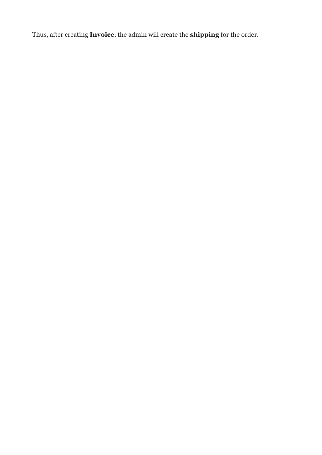Thus, after creating **Invoice**, the admin will create the **shipping** for the order.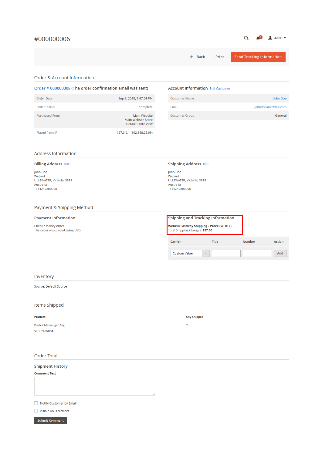#### #000000006

### $Q = \begin{pmatrix} 0 & 1 \\ 1 & 0 \end{pmatrix}$  admin  $\triangledown$

|                                                                                |                                                          | Print<br>$\leftarrow$ Back                                                        | <b>Send Tracking Information</b> |
|--------------------------------------------------------------------------------|----------------------------------------------------------|-----------------------------------------------------------------------------------|----------------------------------|
| <b>Order &amp; Account Information</b>                                         |                                                          |                                                                                   |                                  |
| Order # 000000008 (The order confirmation email was sent)                      |                                                          | <b>Account Information Edit Customer</b>                                          |                                  |
| Order Date                                                                     | Sep 3, 2019, 7:47:54 PM                                  | <b>Customer Name</b>                                                              | John Doe                         |
| <b>Order Status</b>                                                            | Complete                                                 | Email                                                                             | Johndoe@webkul.com               |
| <b>Purchased From</b>                                                          | Main Website<br>Main Website Store<br>Default Store View | <b>Customer Group</b>                                                             | General                          |
| Placed from IP                                                                 | 127.0.0.1 (192.168.25.99)                                |                                                                                   |                                  |
| <b>Address Information</b>                                                     |                                                          |                                                                                   |                                  |
| <b>Billing Address Edit</b>                                                    |                                                          | <b>Shipping Address Edit</b>                                                      |                                  |
| John Doe<br>Webkul<br>ULLSWATER, Victoria, 3318<br>Australia<br>T: 14242800000 |                                                          | John Doe<br>Webkul<br>ULLSWATER, Victoria, 3318<br>Australia<br>T: 14242800000    |                                  |
| Payment & Shipping Method                                                      |                                                          |                                                                                   |                                  |
| <b>Payment Information</b>                                                     |                                                          | <b>Shipping and Tracking Information</b>                                          |                                  |
| Check / Money order<br>The order was placed using USD.                         |                                                          | <b>Webkul Fastway Shipping - Parcel(WHITE)</b><br>Total Shipping Charges: \$37.00 |                                  |
|                                                                                |                                                          | Title<br>Carrier                                                                  | <b>Number</b><br><b>Action</b>   |
|                                                                                |                                                          |                                                                                   |                                  |
|                                                                                |                                                          | <b>Custom Value</b><br>$\blacktriangledown$                                       | Add                              |
|                                                                                |                                                          |                                                                                   |                                  |
| Inventory                                                                      |                                                          |                                                                                   |                                  |
| Source: Default Source                                                         |                                                          |                                                                                   |                                  |
| Items Shipped                                                                  |                                                          |                                                                                   |                                  |
| <b>Product</b>                                                                 |                                                          | <b>Qty Shipped</b>                                                                |                                  |
| Push It Messenger Bag<br><b>SKU: 24-WB04</b>                                   |                                                          | $\overline{2}$                                                                    |                                  |
| <b>Order Total</b>                                                             |                                                          |                                                                                   |                                  |
| <b>Shipment History</b>                                                        |                                                          |                                                                                   |                                  |
| <b>Comment Text</b>                                                            |                                                          |                                                                                   |                                  |
|                                                                                |                                                          |                                                                                   |                                  |
| Notify Customer by Email                                                       |                                                          |                                                                                   |                                  |
| Visible on Storefront                                                          |                                                          |                                                                                   |                                  |
| <b>Submit Comment</b>                                                          |                                                          |                                                                                   |                                  |
|                                                                                |                                                          |                                                                                   |                                  |